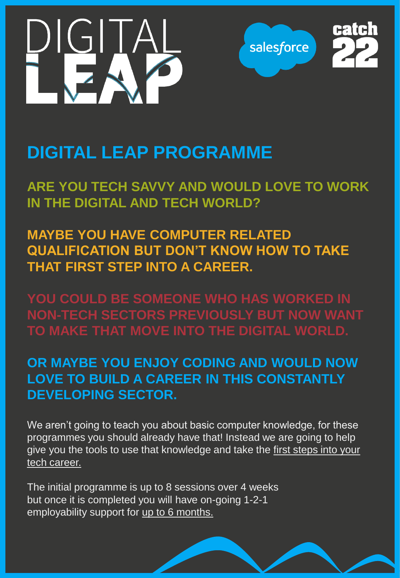



# **DIGITAL LEAP PROGRAMME**

**ARE YOU TECH SAVVY AND WOULD LOVE TO WORK IN THE DIGITAL AND TECH WORLD?**

**MAYBE YOU HAVE COMPUTER RELATED QUALIFICATION BUT DON'T KNOW HOW TO TAKE THAT FIRST STEP INTO A CAREER.**

**YOU COULD BE SOMEONE WHO HAS WORKED IN NON-TECH SECTORS PREVIOUSLY BUT NOW WANT TO MAKE THAT MOVE INTO THE DIGITAL WORLD.**

## **OR MAYBE YOU ENJOY CODING AND WOULD NOW LOVE TO BUILD A CAREER IN THIS CONSTANTLY DEVELOPING SECTOR.**

We aren't going to teach you about basic computer knowledge, for these programmes you should already have that! Instead we are going to help give you the tools to use that knowledge and take the first steps into your tech career.

The initial programme is up to 8 sessions over 4 weeks but once it is completed you will have on-going 1-2-1 employability support for up to 6 months.